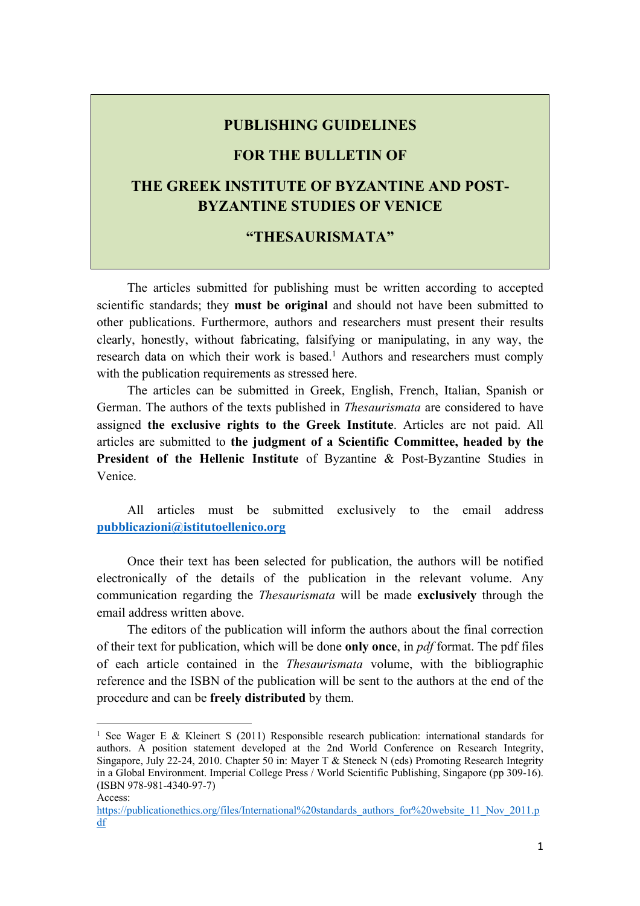### **PUBLISHING GUIDELINES**

# **FOR THE BULLETIN OF**

# **THE GREEK INSTITUTE OF BYZANTINE AND POST-BYZANTINE STUDIES OF VENICE**

## **"THESAURISMATA"**

The articles submitted for publishing must be written according to accepted scientific standards; they **must be original** and should not have been submitted to other publications. Furthermore, authors and researchers must present their results clearly, honestly, without fabricating, falsifying or manipulating, in any way, the research data on which their work is based.<sup>1</sup> Authors and researchers must comply with the publication requirements as stressed here.

The articles can be submitted in Greek, English, French, Italian, Spanish or German. The authors of the texts published in *Thesaurismata* are considered to have assigned **the exclusive rights to the Greek Institute**. Articles are not paid. All articles are submitted to **the judgment of a Scientific Committee, headed by the President of the Hellenic Institute** of Byzantine & Post-Byzantine Studies in Venice.

All articles must be submitted exclusively to the email address **pubblicazioni@istitutoellenico.org**

Once their text has been selected for publication, the authors will be notified electronically of the details of the publication in the relevant volume. Any communication regarding the *Thesaurismata* will be made **exclusively** through the email address written above.

The editors of the publication will inform the authors about the final correction of their text for publication, which will be done **only once**, in *pdf* format. The pdf files of each article contained in the *Thesaurismata* volume, with the bibliographic reference and the ISBN of the publication will be sent to the authors at the end of the procedure and can be **freely distributed** by them.

<sup>&</sup>lt;sup>1</sup> See Wager E & Kleinert S (2011) Responsible research publication: international standards for authors. A position statement developed at the 2nd World Conference on Research Integrity, Singapore, July 22-24, 2010. Chapter 50 in: Mayer T & Steneck N (eds) Promoting Research Integrity in a Global Environment. Imperial College Press / World Scientific Publishing, Singapore (pp 309-16). (ISBN 978-981-4340-97-7) Access:

https://publicationethics.org/files/International%20standards\_authors\_for%20website\_11\_Nov\_2011.p df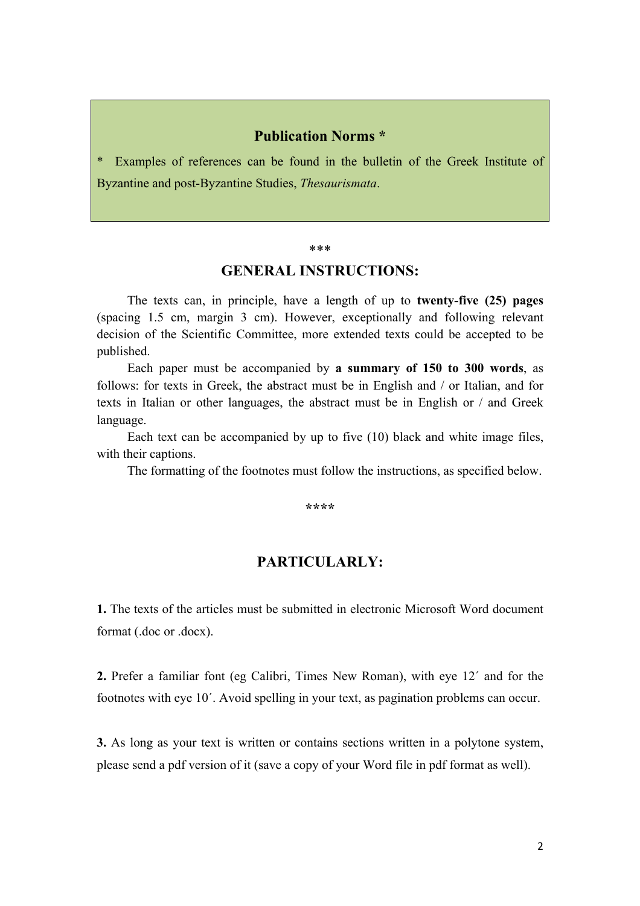# **Publication Norms \***

Examples of references can be found in the bulletin of the Greek Institute of Byzantine and post-Byzantine Studies, *Thesaurismata*.

#### \*\*\*

## **GENERAL INSTRUCTIONS:**

The texts can, in principle, have a length of up to **twenty-five (25) pages** (spacing 1.5 cm, margin 3 cm). However, exceptionally and following relevant decision of the Scientific Committee, more extended texts could be accepted to be published.

Each paper must be accompanied by **a summary of 150 to 300 words**, as follows: for texts in Greek, the abstract must be in English and / or Italian, and for texts in Italian or other languages, the abstract must be in English or / and Greek language.

Each text can be accompanied by up to five (10) black and white image files, with their captions.

The formatting of the footnotes must follow the instructions, as specified below.

**\*\*\*\***

# **PARTICULARLY:**

**1.** The texts of the articles must be submitted in electronic Microsoft Word document format (.doc or .docx).

**2.** Prefer a familiar font (eg Calibri, Times New Roman), with eye 12΄ and for the footnotes with eye 10΄. Avoid spelling in your text, as pagination problems can occur.

**3.** As long as your text is written or contains sections written in a polytone system, please send a pdf version of it (save a copy of your Word file in pdf format as well).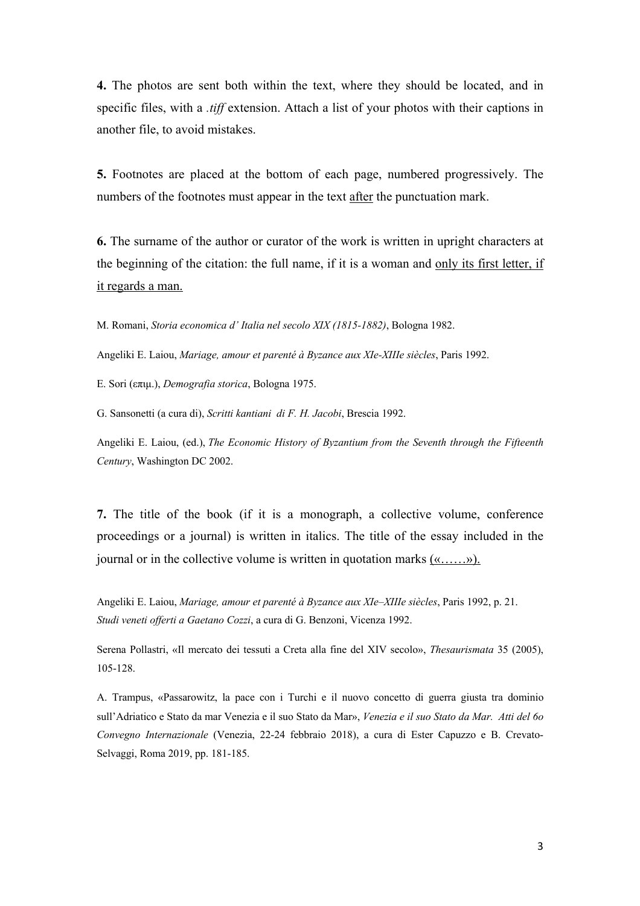**4.** The photos are sent both within the text, where they should be located, and in specific files, with a *.tiff* extension. Attach a list of your photos with their captions in another file, to avoid mistakes.

**5.** Footnotes are placed at the bottom of each page, numbered progressively. The numbers of the footnotes must appear in the text after the punctuation mark.

**6.** The surname of the author or curator of the work is written in upright characters at the beginning of the citation: the full name, if it is a woman and only its first letter, if it regards a man.

M. Romani, *Storia economica d' Italia nel secolo XIX (1815-1882)*, Bologna 1982.

Angeliki E. Laiou, *Mariage, amour et parenté à Byzance aux XIe-XIIIe siècles*, Paris 1992.

E. Sori (επιμ.), *Demografia storica*, Bologna 1975.

G. Sansonetti (a cura di), *Scritti kantiani di F. H. Jacobi*, Brescia 1992.

Angeliki E. Laiou, (ed.), *The Economic History of Byzantium from the Seventh through the Fifteenth Century*, Washington DC 2002.

**7.** The title of the book (if it is a monograph, a collective volume, conference proceedings or a journal) is written in italics. The title of the essay included in the journal or in the collective volume is written in quotation marks  $(x, \ldots, y)$ .

Angeliki E. Laiou, *Mariage, amour et parenté à Byzance aux XIe–XIIIe siècles*, Paris 1992, p. 21. *Studi veneti offerti a Gaetano Cozzi*, a cura di G. Benzoni, Vicenza 1992.

Serena Pollastri, «Il mercato dei tessuti a Creta alla fine del XIV secolo», *Thesaurismata* 35 (2005), 105-128.

A. Trampus, «Passarowitz, la pace con i Turchi e il nuovo concetto di guerra giusta tra dominio sull'Adriatico e Stato da mar Venezia e il suo Stato da Mar», *Venezia e il suo Stato da Mar. Atti del 6o Convegno Internazionale* (Venezia, 22-24 febbraio 2018), a cura di Ester Capuzzo e B. Crevato-Selvaggi, Roma 2019, pp. 181-185.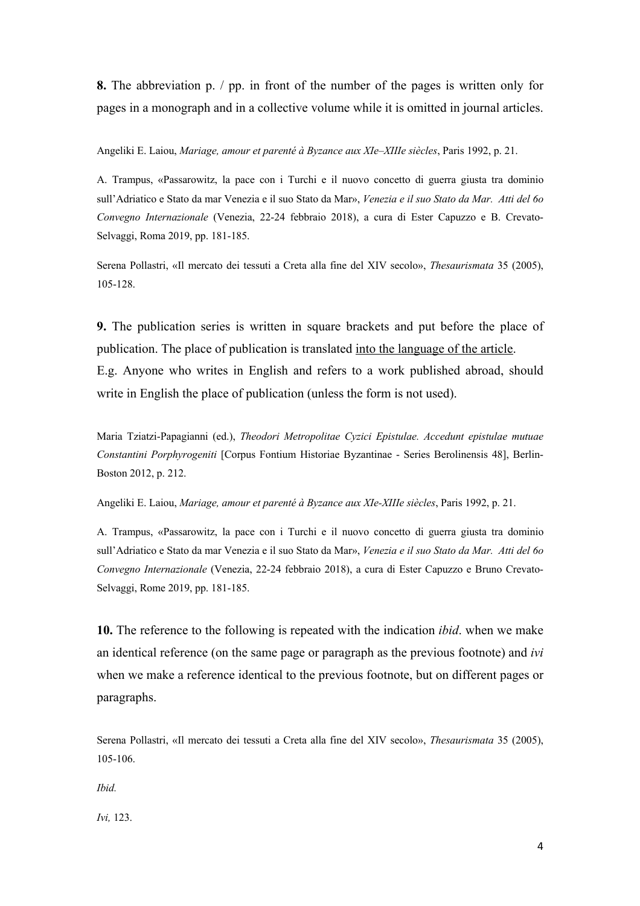**8.** The abbreviation p. / pp. in front of the number of the pages is written only for pages in a monograph and in a collective volume while it is omitted in journal articles.

Angeliki E. Laiou, *Mariage, amour et parenté à Byzance aux XIe–XIIIe siècles*, Paris 1992, p. 21.

A. Trampus, «Passarowitz, la pace con i Turchi e il nuovo concetto di guerra giusta tra dominio sull'Adriatico e Stato da mar Venezia e il suo Stato da Mar», *Venezia e il suo Stato da Mar. Atti del 6o Convegno Internazionale* (Venezia, 22-24 febbraio 2018), a cura di Ester Capuzzo e B. Crevato-Selvaggi, Roma 2019, pp. 181-185.

Serena Pollastri, «Il mercato dei tessuti a Creta alla fine del XIV secolo», *Thesaurismata* 35 (2005), 105-128.

**9.** The publication series is written in square brackets and put before the place of publication. The place of publication is translated into the language of the article. E.g. Anyone who writes in English and refers to a work published abroad, should write in English the place of publication (unless the form is not used).

Maria Tziatzi-Papagianni (ed.), *Theodori Metropolitae Cyzici Epistulae. Accedunt epistulae mutuae Constantini Porphyrogeniti* [Corpus Fontium Historiae Byzantinae - Series Berolinensis 48], Berlin-Boston 2012, p. 212.

Angeliki E. Laiou, *Mariage, amour et parenté à Byzance aux XIe-XIIIe siècles*, Paris 1992, p. 21.

A. Trampus, «Passarowitz, la pace con i Turchi e il nuovo concetto di guerra giusta tra dominio sull'Adriatico e Stato da mar Venezia e il suo Stato da Mar», *Venezia e il suo Stato da Mar. Atti del 6o Convegno Internazionale* (Venezia, 22-24 febbraio 2018), a cura di Ester Capuzzo e Bruno Crevato-Selvaggi, Rome 2019, pp. 181-185.

**10.** The reference to the following is repeated with the indication *ibid*. when we make an identical reference (on the same page or paragraph as the previous footnote) and *ivi*  when we make a reference identical to the previous footnote, but on different pages or paragraphs.

Serena Pollastri, «Il mercato dei tessuti a Creta alla fine del XIV secolo», *Thesaurismata* 35 (2005), 105-106.

*Ibid.*

*Ivi,* 123.